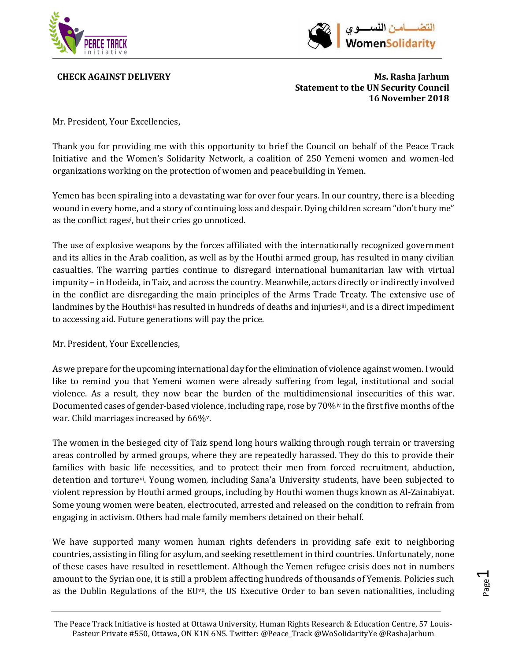



**CHECK AGAINST DELIVERY Ms. Rasha Jarhum Statement to the UN Security Council 16 November 2018**

Mr. President, Your Excellencies,

Thank you for providing me with this opportunity to brief the Council on behalf of the Peace Track Initiative and the Women's Solidarity Network, a coalition of 250 Yemeni women and women-led organizations working on the protection of women and peacebuilding in Yemen.

Yemen has been spiraling into a devastating war for over four years. In our country, there is a bleeding wound in every home, and a story of continuing loss and despair. Dying children scream "don't bury me" as the confl[i](#page-4-0)ct rages<sup>,</sup> but their cries go unnoticed.

The use of explosive weapons by the forces affiliated with the internationally recognized government and its allies in the Arab coalition, as well as by the Houthi armed group, has resulted in many civilian casualties. The warring parties continue to disregard international humanitarian law with virtual impunity – in Hodeida, in Taiz, and across the country. Meanwhile, actors directly or indirectly involved in the conflict are disregarding the main principles of the Arms Trade Treaty. The extensive use of landmines by the Houthis<sup>[ii](#page-4-1)</sup> has resulted in hundreds of deaths and injuries<sup>[iii](#page-4-2)</sup>, and is a direct impediment to accessing aid. Future generations will pay the price.

Mr. President, Your Excellencies,

As we prepare for the upcoming international day for the elimination of violence against women. I would like to remind you that Yemeni women were already suffering from legal, institutional and social violence. As a result, they now bear the burden of the multidimensional insecurities of this war. Documented cases of gender-based violence, including rape, rose by 70%<sup>[iv](#page-4-3)</sup> in the first five months of the war. Child marriages increased by 66%[v.](#page-4-4)

The women in the besieged city of Taiz spend long hours walking through rough terrain or traversing areas controlled by armed groups, where they are repeatedly harassed. They do this to provide their families with basic life necessities, and to protect their men from forced recruitment, abduction, detention and torture[vi](#page-4-5). Young women, including Sana'a University students, have been subjected to violent repression by Houthi armed groups, including by Houthi women thugs known as Al-Zainabiyat. Some young women were beaten, electrocuted, arrested and released on the condition to refrain from engaging in activism. Others had male family members detained on their behalf.

We have supported many women human rights defenders in providing safe exit to neighboring countries, assisting in filing for asylum, and seeking resettlement in third countries. Unfortunately, none of these cases have resulted in resettlement. Although the Yemen refugee crisis does not in numbers amount to the Syrian one, it is still a problem affecting hundreds of thousands of Yemenis. Policies such as the Dublin Regulations of the EU<sup>[vii](#page-4-6)</sup>, the US Executive Order to ban seven nationalities, including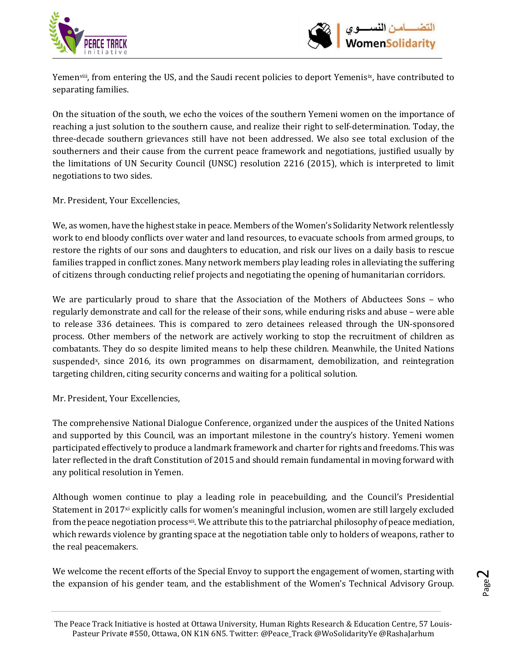



Yemen[viii](#page-4-7), from entering the US, and the Saudi recent policies to deport Yemenis[ix](#page-4-8), have contributed to separating families.

On the situation of the south, we echo the voices of the southern Yemeni women on the importance of reaching a just solution to the southern cause, and realize their right to self-determination. Today, the three-decade southern grievances still have not been addressed. We also see total exclusion of the southerners and their cause from the current peace framework and negotiations, justified usually by the limitations of UN Security Council (UNSC) resolution 2216 (2015), which is interpreted to limit negotiations to two sides.

Mr. President, Your Excellencies,

We, as women, have the highest stake in peace. Members of the Women's Solidarity Network relentlessly work to end bloody conflicts over water and land resources, to evacuate schools from armed groups, to restore the rights of our sons and daughters to education, and risk our lives on a daily basis to rescue families trapped in conflict zones. Many network members play leading roles in alleviating the suffering of citizens through conducting relief projects and negotiating the opening of humanitarian corridors.

We are particularly proud to share that the Association of the Mothers of Abductees Sons – who regularly demonstrate and call for the release of their sons, while enduring risks and abuse – were able to release 336 detainees. This is compared to zero detainees released through the UN-sponsored process. Other members of the network are actively working to stop the recruitment of children as combatants. They do so despite limited means to help these children. Meanwhile, the United Nations suspended<sup>x</sup>, since 2016, its own programmes on disarmament, demobilization, and reintegration targeting children, citing security concerns and waiting for a political solution.

Mr. President, Your Excellencies,

The comprehensive National Dialogue Conference, organized under the auspices of the United Nations and supported by this Council, was an important milestone in the country's history. Yemeni women participated effectively to produce a landmark framework and charter for rights and freedoms. This was later reflected in the draft Constitution of 2015 and should remain fundamental in moving forward with any political resolution in Yemen.

Although women continue to play a leading role in peacebuilding, and the Council's Presidential Statement in 2017[xi](#page-4-10) explicitly calls for women's meaningful inclusion, women are still largely excluded from the peace negotiation process<sup>[xii](#page-4-11)</sup>. We attribute this to the patriarchal philosophy of peace mediation, which rewards violence by granting space at the negotiation table only to holders of weapons, rather to the real peacemakers.

We welcome the recent efforts of the Special Envoy to support the engagement of women, starting with the expansion of his gender team, and the establishment of the Women's Technical Advisory Group.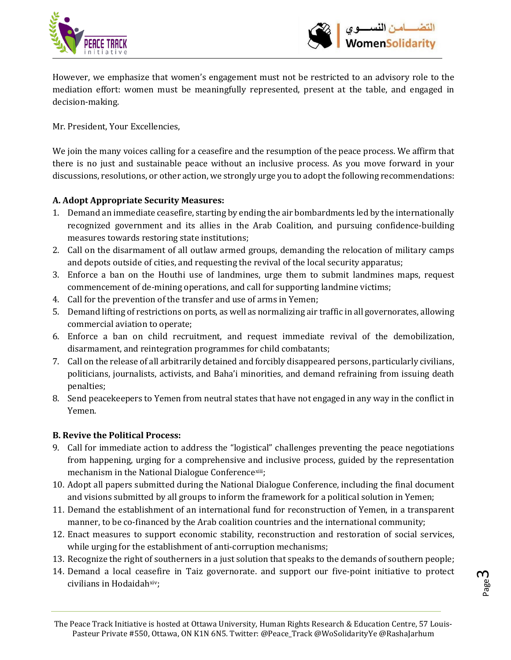



However, we emphasize that women's engagement must not be restricted to an advisory role to the mediation effort: women must be meaningfully represented, present at the table, and engaged in decision-making.

Mr. President, Your Excellencies,

We join the many voices calling for a ceasefire and the resumption of the peace process. We affirm that there is no just and sustainable peace without an inclusive process. As you move forward in your discussions, resolutions, or other action, we strongly urge you to adopt the following recommendations:

## **A. Adopt Appropriate Security Measures:**

- 1. Demand an immediate ceasefire, starting by ending the air bombardments led by the internationally recognized government and its allies in the Arab Coalition, and pursuing confidence-building measures towards restoring state institutions;
- 2. Call on the disarmament of all outlaw armed groups, demanding the relocation of military camps and depots outside of cities, and requesting the revival of the local security apparatus;
- 3. Enforce a ban on the Houthi use of landmines, urge them to submit landmines maps, request commencement of de-mining operations, and call for supporting landmine victims;
- 4. Call for the prevention of the transfer and use of arms in Yemen;
- 5. Demand lifting of restrictions on ports, as well as normalizing air traffic in all governorates, allowing commercial aviation to operate;
- 6. Enforce a ban on child recruitment, and request immediate revival of the demobilization, disarmament, and reintegration programmes for child combatants;
- 7. Call on the release of all arbitrarily detained and forcibly disappeared persons, particularly civilians, politicians, journalists, activists, and Baha'i minorities, and demand refraining from issuing death penalties;
- 8. Send peacekeepers to Yemen from neutral states that have not engaged in any way in the conflict in Yemen.

## **B. Revive the Political Process:**

- 9. Call for immediate action to address the "logistical" challenges preventing the peace negotiations from happening, urging for a comprehensive and inclusive process, guided by the representation mechanism in the National Dialogue Conference<sup>[xiii](#page-4-12)</sup>;
- 10. Adopt all papers submitted during the National Dialogue Conference, including the final document and visions submitted by all groups to inform the framework for a political solution in Yemen;
- 11. Demand the establishment of an international fund for reconstruction of Yemen, in a transparent manner, to be co-financed by the Arab coalition countries and the international community;
- 12. Enact measures to support economic stability, reconstruction and restoration of social services, while urging for the establishment of anti-corruption mechanisms;
- 13. Recognize the right of southerners in a just solution that speaks to the demands of southern people;
- 14. Demand a local ceasefire in Taiz governorate. and support our five-point initiative to protect civilians in Hodaidah<sup>xiv</sup>;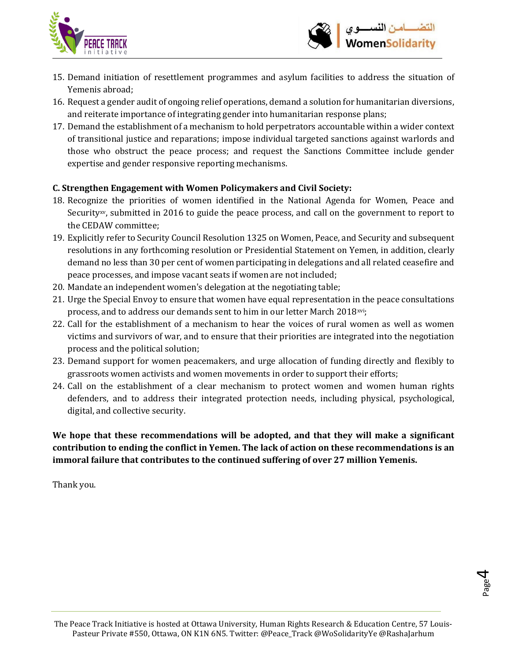



- 15. Demand initiation of resettlement programmes and asylum facilities to address the situation of Yemenis abroad;
- 16. Request a gender audit of ongoing relief operations, demand a solution for humanitarian diversions, and reiterate importance of integrating gender into humanitarian response plans;
- 17. Demand the establishment of a mechanism to hold perpetrators accountable within a wider context of transitional justice and reparations; impose individual targeted sanctions against warlords and those who obstruct the peace process; and request the Sanctions Committee include gender expertise and gender responsive reporting mechanisms.

## **C. Strengthen Engagement with Women Policymakers and Civil Society:**

- 18. Recognize the priorities of women identified in the National Agenda for Women, Peace and Security[xv,](#page-4-14) submitted in 2016 to guide the peace process, and call on the government to report to the CEDAW committee;
- 19. Explicitly refer to Security Council Resolution 1325 on Women, Peace, and Security and subsequent resolutions in any forthcoming resolution or Presidential Statement on Yemen, in addition, clearly demand no less than 30 per cent of women participating in delegations and all related ceasefire and peace processes, and impose vacant seats if women are not included;
- 20. Mandate an independent women's delegation at the negotiating table;
- 21. Urge the Special Envoy to ensure that women have equal representation in the peace consultations process, and to address our demands sent to him in our letter March 2018<sup>[xvi](#page-4-15)</sup>;
- 22. Call for the establishment of a mechanism to hear the voices of rural women as well as women victims and survivors of war, and to ensure that their priorities are integrated into the negotiation process and the political solution;
- 23. Demand support for women peacemakers, and urge allocation of funding directly and flexibly to grassroots women activists and women movements in order to support their efforts;
- 24. Call on the establishment of a clear mechanism to protect women and women human rights defenders, and to address their integrated protection needs, including physical, psychological, digital, and collective security.

**We hope that these recommendations will be adopted, and that they will make a significant contribution to ending the conflict in Yemen. The lack of action on these recommendations is an immoral failure that contributes to the continued suffering of over 27 million Yemenis.**

Thank you.